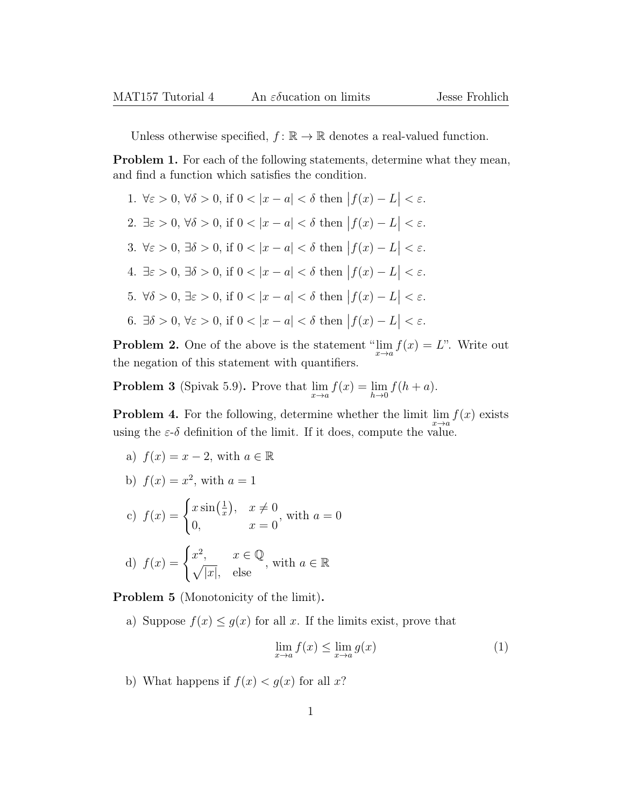Unless otherwise specified,  $f: \mathbb{R} \to \mathbb{R}$  denotes a real-valued function.

Problem 1. For each of the following statements, determine what they mean, and find a function which satisfies the condition.

- 1.  $\forall \varepsilon > 0, \forall \delta > 0$ , if  $0 < |x a| < \delta$  then  $|f(x) L| < \varepsilon$ .
- 2.  $\exists \varepsilon > 0, \forall \delta > 0$ , if  $0 < |x a| < \delta$  then  $|f(x) L| < \varepsilon$ .
- 3.  $\forall \varepsilon > 0$ ,  $\exists \delta > 0$ , if  $0 < |x a| < \delta$  then  $|f(x) L| < \varepsilon$ .
- 4.  $\exists \varepsilon > 0$ ,  $\exists \delta > 0$ , if  $0 < |x a| < \delta$  then  $|f(x) L| < \varepsilon$ .
- 5.  $\forall \delta > 0, \exists \varepsilon > 0$ , if  $0 < |x a| < \delta$  then  $|f(x) L| < \varepsilon$ .
- 6.  $\exists \delta > 0, \forall \varepsilon > 0$ , if  $0 < |x a| < \delta$  then  $|f(x) L| < \varepsilon$ .

**Problem 2.** One of the above is the statement " $\lim_{x \to a} f(x) = L$ ". Write out the negation of this statement with quantifiers.

**Problem 3** (Spivak 5.9). Prove that  $\lim_{x \to a} f(x) = \lim_{h \to 0} f(h + a)$ .

**Problem 4.** For the following, determine whether the limit  $\lim_{x\to a} f(x)$  exists using the  $\varepsilon$ -δ definition of the limit. If it does, compute the value.

- a)  $f(x) = x 2$ , with  $a \in \mathbb{R}$
- b)  $f(x) = x^2$ , with  $a = 1$

c) 
$$
f(x) = \begin{cases} x \sin(\frac{1}{x}), & x \neq 0 \\ 0, & x = 0 \end{cases}
$$
, with  $a = 0$   
d)  $f(x) = \begin{cases} x^2, & x \in \mathbb{Q} \\ \sqrt{|x|}, & \text{else} \end{cases}$ , with  $a \in \mathbb{R}$ 

Problem 5 (Monotonicity of the limit).

a) Suppose  $f(x) \leq g(x)$  for all x. If the limits exist, prove that

$$
\lim_{x \to a} f(x) \le \lim_{x \to a} g(x) \tag{1}
$$

b) What happens if  $f(x) < g(x)$  for all x?